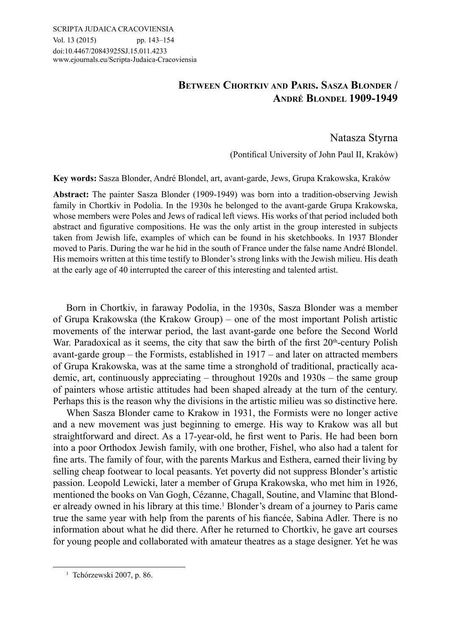## **Between Chortkiv and Paris. Sasza Blonder / André Blondel 1909-1949**

Natasza Styrna

(Pontifical University of John Paul II, Kraków)

**Key words:** Sasza Blonder, André Blondel, art, avant-garde, Jews, Grupa Krakowska, Kraków

**Abstract:** The painter Sasza Blonder (1909-1949) was born into a tradition-observing Jewish family in Chortkiv in Podolia. In the 1930s he belonged to the avant-garde Grupa Krakowska, whose members were Poles and Jews of radical left views. His works of that period included both abstract and figurative compositions. He was the only artist in the group interested in subjects taken from Jewish life, examples of which can be found in his sketchbooks. In 1937 Blonder moved to Paris. During the war he hid in the south of France under the false name André Blondel. His memoirs written at this time testify to Blonder's strong links with the Jewish milieu. His death at the early age of 40 interrupted the career of this interesting and talented artist.

Born in Chortkiv, in faraway Podolia, in the 1930s, Sasza Blonder was a member of Grupa Krakowska (the Krakow Group) – one of the most important Polish artistic movements of the interwar period, the last avant-garde one before the Second World War. Paradoxical as it seems, the city that saw the birth of the first  $20<sup>th</sup>$ -century Polish avant-garde group – the Formists, established in 1917 – and later on attracted members of Grupa Krakowska, was at the same time a stronghold of traditional, practically academic, art, continuously appreciating – throughout 1920s and 1930s – the same group of painters whose artistic attitudes had been shaped already at the turn of the century. Perhaps this is the reason why the divisions in the artistic milieu was so distinctive here.

When Sasza Blonder came to Krakow in 1931, the Formists were no longer active and a new movement was just beginning to emerge. His way to Krakow was all but straightforward and direct. As a 17-year-old, he first went to Paris. He had been born into a poor Orthodox Jewish family, with one brother, Fishel, who also had a talent for fine arts. The family of four, with the parents Markus and Esthera, earned their living by selling cheap footwear to local peasants. Yet poverty did not suppress Blonder's artistic passion. Leopold Lewicki, later a member of Grupa Krakowska, who met him in 1926, mentioned the books on Van Gogh, Cézanne, Chagall, Soutine, and Vlaminc that Blonder already owned in his library at this time.<sup>1</sup> Blonder's dream of a journey to Paris came true the same year with help from the parents of his fiancée, Sabina Adler. There is no information about what he did there. After he returned to Chortkiv, he gave art courses for young people and collaborated with amateur theatres as a stage designer. Yet he was

<sup>&</sup>lt;sup>1</sup> Tchórzewski 2007, p. 86.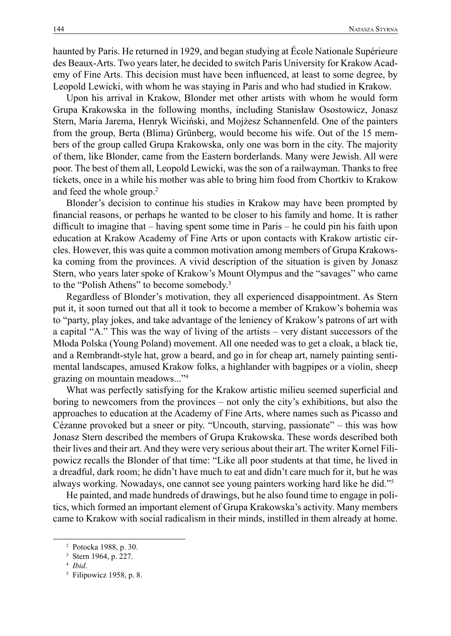haunted by Paris. He returned in 1929, and began studying at École Nationale Supérieure des Beaux-Arts. Two years later, he decided to switch Paris University for Krakow Academy of Fine Arts. This decision must have been influenced, at least to some degree, by Leopold Lewicki, with whom he was staying in Paris and who had studied in Krakow.

Upon his arrival in Krakow, Blonder met other artists with whom he would form Grupa Krakowska in the following months, including Stanisław Osostowicz, Jonasz Stern, Maria Jarema, Henryk Wiciński, and Mojżesz Schannenfeld. One of the painters from the group, Berta (Blima) Grünberg, would become his wife. Out of the 15 members of the group called Grupa Krakowska, only one was born in the city. The majority of them, like Blonder, came from the Eastern borderlands. Many were Jewish. All were poor. The best of them all, Leopold Lewicki, was the son of a railwayman. Thanks to free tickets, once in a while his mother was able to bring him food from Chortkiv to Krakow and feed the whole group.<sup>2</sup>

Blonder's decision to continue his studies in Krakow may have been prompted by financial reasons, or perhaps he wanted to be closer to his family and home. It is rather difficult to imagine that – having spent some time in Paris – he could pin his faith upon education at Krakow Academy of Fine Arts or upon contacts with Krakow artistic circles. However, this was quite a common motivation among members of Grupa Krakowska coming from the provinces. A vivid description of the situation is given by Jonasz Stern, who years later spoke of Krakow's Mount Olympus and the "savages" who came to the "Polish Athens" to become somebody.<sup>3</sup>

Regardless of Blonder's motivation, they all experienced disappointment. As Stern put it, it soon turned out that all it took to become a member of Krakow's bohemia was to "party, play jokes, and take advantage of the leniency of Krakow's patrons of art with a capital "A." This was the way of living of the artists – very distant successors of the Młoda Polska (Young Poland) movement. All one needed was to get a cloak, a black tie, and a Rembrandt-style hat, grow a beard, and go in for cheap art, namely painting sentimental landscapes, amused Krakow folks, a highlander with bagpipes or a violin, sheep grazing on mountain meadows..."<sup>4</sup>

What was perfectly satisfying for the Krakow artistic milieu seemed superficial and boring to newcomers from the provinces – not only the city's exhibitions, but also the approaches to education at the Academy of Fine Arts, where names such as Picasso and Cézanne provoked but a sneer or pity. "Uncouth, starving, passionate" – this was how Jonasz Stern described the members of Grupa Krakowska. These words described both their lives and their art. And they were very serious about their art. The writer Kornel Filipowicz recalls the Blonder of that time: "Like all poor students at that time, he lived in a dreadful, dark room; he didn't have much to eat and didn't care much for it, but he was always working. Nowadays, one cannot see young painters working hard like he did."<sup>5</sup>

He painted, and made hundreds of drawings, but he also found time to engage in politics, which formed an important element of Grupa Krakowska's activity. Many members came to Krakow with social radicalism in their minds, instilled in them already at home.

<sup>2</sup> Potocka 1988, p. 30.

<sup>3</sup> Stern 1964, p. 227.

<sup>4</sup> *Ibid*.

<sup>5</sup> Filipowicz 1958, p. 8.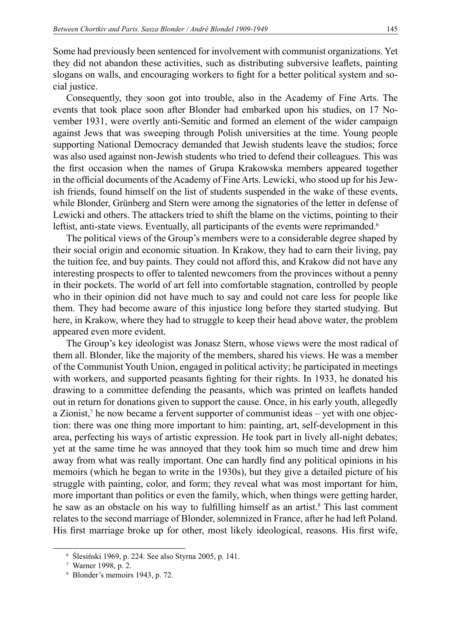Some had previously been sentenced for involvement with communist organizations. Yet they did not abandon these activities, such as distributing subversive leaflets, painting slogans on walls, and encouraging workers to fight for a better political system and social justice.

Consequently, they soon got into trouble, also in the Academy of Fine Arts. The events that took place soon after Blonder had embarked upon his studies, on 17 November 1931, were overtly anti-Semitic and formed an element of the wider campaign against Jews that was sweeping through Polish universities at the time. Young people supporting National Democracy demanded that Jewish students leave the studios; force was also used against non-Jewish students who tried to defend their colleagues. This was the first occasion when the names of Grupa Krakowska members appeared together in the official documents of the Academy of Fine Arts. Lewicki, who stood up for his Jewish friends, found himself on the list of students suspended in the wake of these events, while Blonder, Grünberg and Stern were among the signatories of the letter in defense of Lewicki and others. The attackers tried to shift the blame on the victims, pointing to their leftist, anti-state views. Eventually, all participants of the events were reprimanded.<sup>6</sup>

The political views of the Group's members were to a considerable degree shaped by their social origin and economic situation. In Krakow, they had to earn their living, pay the tuition fee, and buy paints. They could not afford this, and Krakow did not have any interesting prospects to offer to talented newcomers from the provinces without a penny in their pockets. The world of art fell into comfortable stagnation, controlled by people who in their opinion did not have much to say and could not care less for people like them. They had become aware of this injustice long before they started studying. But here, in Krakow, where they had to struggle to keep their head above water, the problem appeared even more evident.

The Group's key ideologist was Jonasz Stern, whose views were the most radical of them all. Blonder, like the majority of the members, shared his views. He was a member of the Communist Youth Union, engaged in political activity; he participated in meetings with workers, and supported peasants fighting for their rights. In 1933, he donated his drawing to a committee defending the peasants, which was printed on leaflets handed out in return for donations given to support the cause. Once, in his early youth, allegedly a Zionist,<sup>7</sup> he now became a fervent supporter of communist ideas – yet with one objection: there was one thing more important to him: painting, art, self-development in this area, perfecting his ways of artistic expression. He took part in lively all-night debates; yet at the same time he was annoyed that they took him so much time and drew him away from what was really important. One can hardly find any political opinions in his memoirs (which he began to write in the 1930s), but they give a detailed picture of his struggle with painting, color, and form; they reveal what was most important for him, more important than politics or even the family, which, when things were getting harder, he saw as an obstacle on his way to fulfilling himself as an artist.<sup>8</sup> This last comment relates to the second marriage of Blonder, solemnized in France, after he had left Poland. His first marriage broke up for other, most likely ideological, reasons. His first wife,

<sup>6</sup> Ślesiński 1969, p. 224. See also Styrna 2005, p. 141.

<sup>7</sup> Warner 1998, p. 2.

<sup>8</sup> Blonder's memoirs 1943, p. 72.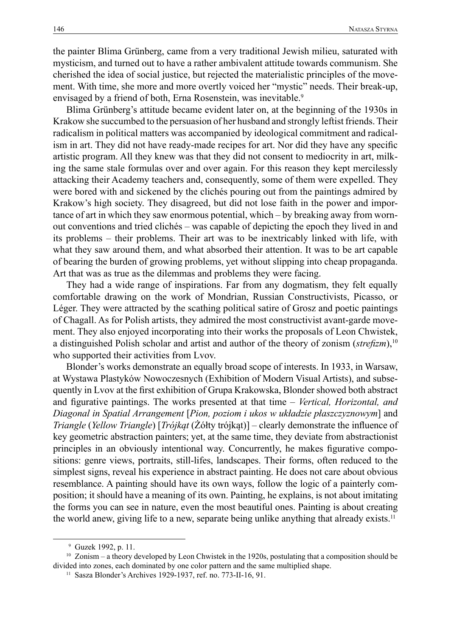the painter Blima Grünberg, came from a very traditional Jewish milieu, saturated with mysticism, and turned out to have a rather ambivalent attitude towards communism. She cherished the idea of social justice, but rejected the materialistic principles of the movement. With time, she more and more overtly voiced her "mystic" needs. Their break-up, envisaged by a friend of both, Erna Rosenstein, was inevitable.<sup>9</sup>

Blima Grünberg's attitude became evident later on, at the beginning of the 1930s in Krakow she succumbed to the persuasion of her husband and strongly leftist friends. Their radicalism in political matters was accompanied by ideological commitment and radicalism in art. They did not have ready-made recipes for art. Nor did they have any specific artistic program. All they knew was that they did not consent to mediocrity in art, milking the same stale formulas over and over again. For this reason they kept mercilessly attacking their Academy teachers and, consequently, some of them were expelled. They were bored with and sickened by the clichés pouring out from the paintings admired by Krakow's high society. They disagreed, but did not lose faith in the power and importance of art in which they saw enormous potential, which – by breaking away from wornout conventions and tried clichés – was capable of depicting the epoch they lived in and its problems – their problems. Their art was to be inextricably linked with life, with what they saw around them, and what absorbed their attention. It was to be art capable of bearing the burden of growing problems, yet without slipping into cheap propaganda. Art that was as true as the dilemmas and problems they were facing.

They had a wide range of inspirations. Far from any dogmatism, they felt equally comfortable drawing on the work of Mondrian, Russian Constructivists, Picasso, or Léger. They were attracted by the scathing political satire of Grosz and poetic paintings of Chagall. As for Polish artists, they admired the most constructivist avant-garde movement. They also enjoyed incorporating into their works the proposals of Leon Chwistek, a distinguished Polish scholar and artist and author of the theory of zonism (*strefizm*),<sup>10</sup> who supported their activities from Lvov.

Blonder's works demonstrate an equally broad scope of interests. In 1933, in Warsaw, at Wystawa Plastyków Nowoczesnych (Exhibition of Modern Visual Artists), and subsequently in Lvov at the first exhibition of Grupa Krakowska, Blonder showed both abstract and figurative paintings. The works presented at that time – *Vertical, Horizontal, and Diagonal in Spatial Arrangement* [*Pion, poziom i ukos w układzie płaszczyznowym*] and *Triangle* (*Yellow Triangle*) [*Trójkąt* (Żółty trójkąt)] – clearly demonstrate the influence of key geometric abstraction painters; yet, at the same time, they deviate from abstractionist principles in an obviously intentional way. Concurrently, he makes figurative compositions: genre views, portraits, still-lifes, landscapes. Their forms, often reduced to the simplest signs, reveal his experience in abstract painting. He does not care about obvious resemblance. A painting should have its own ways, follow the logic of a painterly composition; it should have a meaning of its own. Painting, he explains, is not about imitating the forms you can see in nature, even the most beautiful ones. Painting is about creating the world anew, giving life to a new, separate being unlike anything that already exists.<sup>11</sup>

<sup>9</sup> Guzek 1992, p. 11.

<sup>10</sup> Zonism – a theory developed by Leon Chwistek in the 1920s, postulating that a composition should be divided into zones, each dominated by one color pattern and the same multiplied shape.

<sup>11</sup> Sasza Blonder's Archives 1929-1937, ref. no. 773-II-16, 91.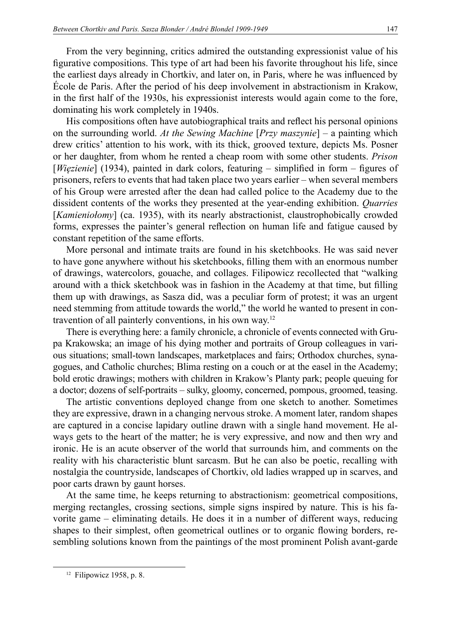From the very beginning, critics admired the outstanding expressionist value of his figurative compositions. This type of art had been his favorite throughout his life, since the earliest days already in Chortkiv, and later on, in Paris, where he was influenced by École de Paris. After the period of his deep involvement in abstractionism in Krakow, in the first half of the 1930s, his expressionist interests would again come to the fore, dominating his work completely in 1940s.

His compositions often have autobiographical traits and reflect his personal opinions on the surrounding world. *At the Sewing Machine* [*Przy maszynie*] – a painting which drew critics' attention to his work, with its thick, grooved texture, depicts Ms. Posner or her daughter, from whom he rented a cheap room with some other students. *Prison*  [*Więzienie*] (1934), painted in dark colors, featuring – simplified in form – figures of prisoners, refers to events that had taken place two years earlier – when several members of his Group were arrested after the dean had called police to the Academy due to the dissident contents of the works they presented at the year-ending exhibition. *Quarries*  [*Kamieniołomy*] (ca. 1935), with its nearly abstractionist, claustrophobically crowded forms, expresses the painter's general reflection on human life and fatigue caused by constant repetition of the same efforts.

More personal and intimate traits are found in his sketchbooks. He was said never to have gone anywhere without his sketchbooks, filling them with an enormous number of drawings, watercolors, gouache, and collages. Filipowicz recollected that "walking around with a thick sketchbook was in fashion in the Academy at that time, but filling them up with drawings, as Sasza did, was a peculiar form of protest; it was an urgent need stemming from attitude towards the world," the world he wanted to present in contravention of all painterly conventions, in his own way.<sup>12</sup>

There is everything here: a family chronicle, a chronicle of events connected with Grupa Krakowska; an image of his dying mother and portraits of Group colleagues in various situations; small-town landscapes, marketplaces and fairs; Orthodox churches, synagogues, and Catholic churches; Blima resting on a couch or at the easel in the Academy; bold erotic drawings; mothers with children in Krakow's Planty park; people queuing for a doctor; dozens of self-portraits – sulky, gloomy, concerned, pompous, groomed, teasing.

The artistic conventions deployed change from one sketch to another. Sometimes they are expressive, drawn in a changing nervous stroke. A moment later, random shapes are captured in a concise lapidary outline drawn with a single hand movement. He always gets to the heart of the matter; he is very expressive, and now and then wry and ironic. He is an acute observer of the world that surrounds him, and comments on the reality with his characteristic blunt sarcasm. But he can also be poetic, recalling with nostalgia the countryside, landscapes of Chortkiv, old ladies wrapped up in scarves, and poor carts drawn by gaunt horses.

At the same time, he keeps returning to abstractionism: geometrical compositions, merging rectangles, crossing sections, simple signs inspired by nature. This is his favorite game – eliminating details. He does it in a number of different ways, reducing shapes to their simplest, often geometrical outlines or to organic flowing borders, resembling solutions known from the paintings of the most prominent Polish avant-garde

<sup>&</sup>lt;sup>12</sup> Filipowicz 1958, p. 8.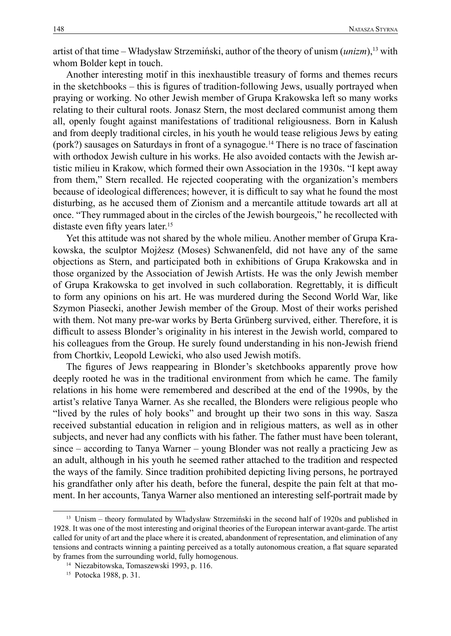artist of that time – Władysław Strzemiński, author of the theory of unism (*unizm*),<sup>13</sup> with whom Bolder kept in touch.

Another interesting motif in this inexhaustible treasury of forms and themes recurs in the sketchbooks – this is figures of tradition-following Jews, usually portrayed when praying or working. No other Jewish member of Grupa Krakowska left so many works relating to their cultural roots. Jonasz Stern, the most declared communist among them all, openly fought against manifestations of traditional religiousness. Born in Kalush and from deeply traditional circles, in his youth he would tease religious Jews by eating (pork?) sausages on Saturdays in front of a synagogue.<sup>14</sup> There is no trace of fascination with orthodox Jewish culture in his works. He also avoided contacts with the Jewish artistic milieu in Krakow, which formed their own Association in the 1930s. "I kept away from them," Stern recalled. He rejected cooperating with the organization's members because of ideological differences; however, it is difficult to say what he found the most disturbing, as he accused them of Zionism and a mercantile attitude towards art all at once. "They rummaged about in the circles of the Jewish bourgeois," he recollected with distaste even fifty years later.<sup>15</sup>

Yet this attitude was not shared by the whole milieu. Another member of Grupa Krakowska, the sculptor Mojżesz (Moses) Schwanenfeld, did not have any of the same objections as Stern, and participated both in exhibitions of Grupa Krakowska and in those organized by the Association of Jewish Artists. He was the only Jewish member of Grupa Krakowska to get involved in such collaboration. Regrettably, it is difficult to form any opinions on his art. He was murdered during the Second World War, like Szymon Piasecki, another Jewish member of the Group. Most of their works perished with them. Not many pre-war works by Berta Grünberg survived, either. Therefore, it is difficult to assess Blonder's originality in his interest in the Jewish world, compared to his colleagues from the Group. He surely found understanding in his non-Jewish friend from Chortkiv, Leopold Lewicki, who also used Jewish motifs.

The figures of Jews reappearing in Blonder's sketchbooks apparently prove how deeply rooted he was in the traditional environment from which he came. The family relations in his home were remembered and described at the end of the 1990s, by the artist's relative Tanya Warner. As she recalled, the Blonders were religious people who "lived by the rules of holy books" and brought up their two sons in this way. Sasza received substantial education in religion and in religious matters, as well as in other subjects, and never had any conflicts with his father. The father must have been tolerant, since – according to Tanya Warner – young Blonder was not really a practicing Jew as an adult, although in his youth he seemed rather attached to the tradition and respected the ways of the family. Since tradition prohibited depicting living persons, he portrayed his grandfather only after his death, before the funeral, despite the pain felt at that moment. In her accounts, Tanya Warner also mentioned an interesting self-portrait made by

<sup>&</sup>lt;sup>13</sup> Unism – theory formulated by Władysław Strzemiński in the second half of 1920s and published in 1928. It was one of the most interesting and original theories of the European interwar avant-garde. The artist called for unity of art and the place where it is created, abandonment of representation, and elimination of any tensions and contracts winning a painting perceived as a totally autonomous creation, a flat square separated by frames from the surrounding world, fully homogenous.

<sup>14</sup> Niezabitowska, Tomaszewski 1993, p. 116.

<sup>15</sup> Potocka 1988, p. 31.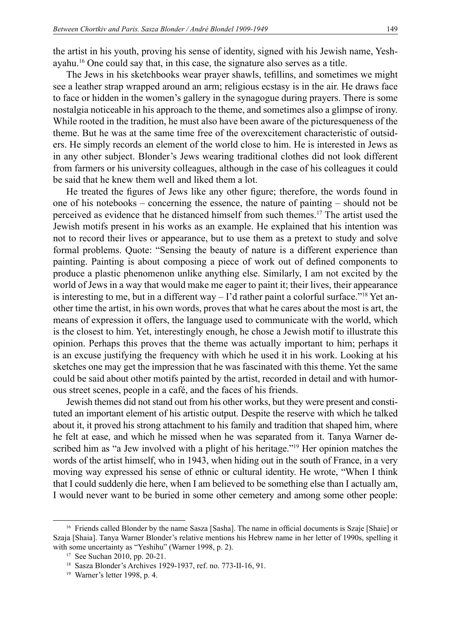the artist in his youth, proving his sense of identity, signed with his Jewish name, Yeshayahu.<sup>16</sup> One could say that, in this case, the signature also serves as a title.

The Jews in his sketchbooks wear prayer shawls, tefillins, and sometimes we might see a leather strap wrapped around an arm; religious ecstasy is in the air. He draws face to face or hidden in the women's gallery in the synagogue during prayers. There is some nostalgia noticeable in his approach to the theme, and sometimes also a glimpse of irony. While rooted in the tradition, he must also have been aware of the picturesqueness of the theme. But he was at the same time free of the overexcitement characteristic of outsiders. He simply records an element of the world close to him. He is interested in Jews as in any other subject. Blonder's Jews wearing traditional clothes did not look different from farmers or his university colleagues, although in the case of his colleagues it could be said that he knew them well and liked them a lot.

He treated the figures of Jews like any other figure; therefore, the words found in one of his notebooks – concerning the essence, the nature of painting – should not be perceived as evidence that he distanced himself from such themes.<sup>17</sup> The artist used the Jewish motifs present in his works as an example. He explained that his intention was not to record their lives or appearance, but to use them as a pretext to study and solve formal problems. Quote: "Sensing the beauty of nature is a different experience than painting. Painting is about composing a piece of work out of defined components to produce a plastic phenomenon unlike anything else. Similarly, I am not excited by the world of Jews in a way that would make me eager to paint it; their lives, their appearance is interesting to me, but in a different way  $-$  I'd rather paint a colorful surface."<sup>18</sup> Yet another time the artist, in his own words, proves that what he cares about the most is art, the means of expression it offers, the language used to communicate with the world, which is the closest to him. Yet, interestingly enough, he chose a Jewish motif to illustrate this opinion. Perhaps this proves that the theme was actually important to him; perhaps it is an excuse justifying the frequency with which he used it in his work. Looking at his sketches one may get the impression that he was fascinated with this theme. Yet the same could be said about other motifs painted by the artist, recorded in detail and with humorous street scenes, people in a café, and the faces of his friends.

Jewish themes did not stand out from his other works, but they were present and constituted an important element of his artistic output. Despite the reserve with which he talked about it, it proved his strong attachment to his family and tradition that shaped him, where he felt at ease, and which he missed when he was separated from it. Tanya Warner described him as "a Jew involved with a plight of his heritage."<sup>19</sup> Her opinion matches the words of the artist himself, who in 1943, when hiding out in the south of France, in a very moving way expressed his sense of ethnic or cultural identity. He wrote, "When I think that I could suddenly die here, when I am believed to be something else than I actually am, I would never want to be buried in some other cemetery and among some other people:

<sup>16</sup> Friends called Blonder by the name Sasza [Sasha]. The name in official documents is Szaje [Shaie] or Szaja [Shaia]. Tanya Warner Blonder's relative mentions his Hebrew name in her letter of 1990s, spelling it with some uncertainty as "Yeshihu" (Warner 1998, p. 2).

<sup>17</sup> See Suchan 2010, pp. 20-21.

<sup>18</sup> Sasza Blonder's Archives 1929-1937, ref. no. 773-II-16, 91.

<sup>19</sup> Warner's letter 1998, p. 4.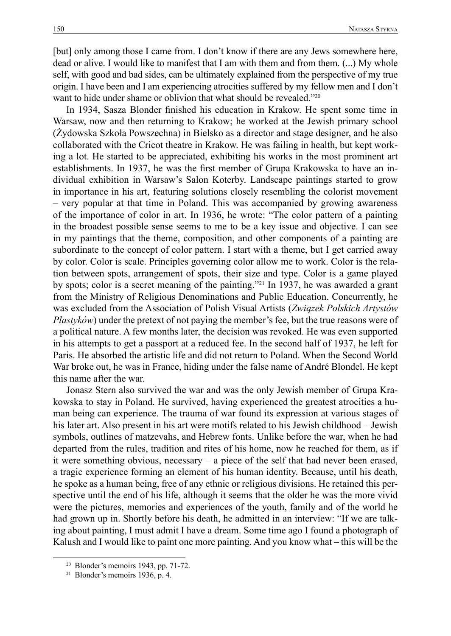[but] only among those I came from. I don't know if there are any Jews somewhere here, dead or alive. I would like to manifest that I am with them and from them. (...) My whole self, with good and bad sides, can be ultimately explained from the perspective of my true origin. I have been and I am experiencing atrocities suffered by my fellow men and I don't want to hide under shame or oblivion that what should be revealed."20

In 1934, Sasza Blonder finished his education in Krakow. He spent some time in Warsaw, now and then returning to Krakow; he worked at the Jewish primary school (Żydowska Szkoła Powszechna) in Bielsko as a director and stage designer, and he also collaborated with the Cricot theatre in Krakow. He was failing in health, but kept working a lot. He started to be appreciated, exhibiting his works in the most prominent art establishments. In 1937, he was the first member of Grupa Krakowska to have an individual exhibition in Warsaw's Salon Koterby. Landscape paintings started to grow in importance in his art, featuring solutions closely resembling the colorist movement – very popular at that time in Poland. This was accompanied by growing awareness of the importance of color in art. In 1936, he wrote: "The color pattern of a painting in the broadest possible sense seems to me to be a key issue and objective. I can see in my paintings that the theme, composition, and other components of a painting are subordinate to the concept of color pattern. I start with a theme, but I get carried away by color. Color is scale. Principles governing color allow me to work. Color is the relation between spots, arrangement of spots, their size and type. Color is a game played by spots; color is a secret meaning of the painting."<sup>21</sup> In 1937, he was awarded a grant from the Ministry of Religious Denominations and Public Education. Concurrently, he was excluded from the Association of Polish Visual Artists (*Związek Polskich Artystów Plastyków*) under the pretext of not paying the member's fee, but the true reasons were of a political nature. A few months later, the decision was revoked. He was even supported in his attempts to get a passport at a reduced fee. In the second half of 1937, he left for Paris. He absorbed the artistic life and did not return to Poland. When the Second World War broke out, he was in France, hiding under the false name of André Blondel. He kept this name after the war.

Jonasz Stern also survived the war and was the only Jewish member of Grupa Krakowska to stay in Poland. He survived, having experienced the greatest atrocities a human being can experience. The trauma of war found its expression at various stages of his later art. Also present in his art were motifs related to his Jewish childhood – Jewish symbols, outlines of matzevahs, and Hebrew fonts. Unlike before the war, when he had departed from the rules, tradition and rites of his home, now he reached for them, as if it were something obvious, necessary – a piece of the self that had never been erased, a tragic experience forming an element of his human identity. Because, until his death, he spoke as a human being, free of any ethnic or religious divisions. He retained this perspective until the end of his life, although it seems that the older he was the more vivid were the pictures, memories and experiences of the youth, family and of the world he had grown up in. Shortly before his death, he admitted in an interview: "If we are talking about painting, I must admit I have a dream. Some time ago I found a photograph of Kalush and I would like to paint one more painting. And you know what – this will be the

<sup>20</sup> Blonder's memoirs 1943, pp. 71-72.

<sup>&</sup>lt;sup>21</sup> Blonder's memoirs 1936, p. 4.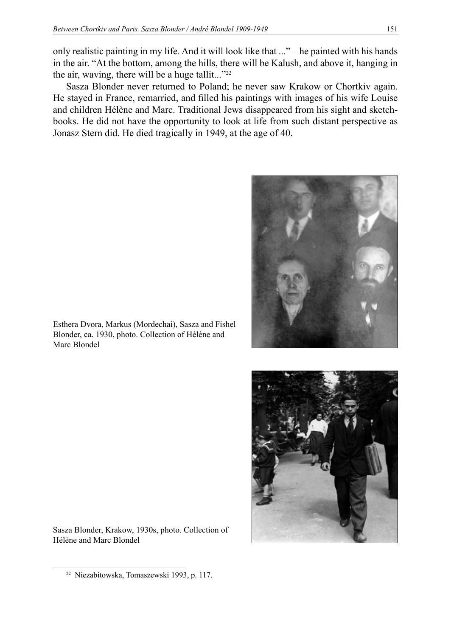only realistic painting in my life. And it will look like that ..." – he painted with his hands in the air. "At the bottom, among the hills, there will be Kalush, and above it, hanging in the air, waving, there will be a huge tallit..."<sup>22</sup>

Sasza Blonder never returned to Poland; he never saw Krakow or Chortkiv again. He stayed in France, remarried, and filled his paintings with images of his wife Louise and children Hélène and Marc. Traditional Jews disappeared from his sight and sketchbooks. He did not have the opportunity to look at life from such distant perspective as Jonasz Stern did. He died tragically in 1949, at the age of 40.





Sasza Blonder, Krakow, 1930s, photo. Collection of Hélène and Marc Blondel



<sup>22</sup> Niezabitowska, Tomaszewski 1993, p. 117.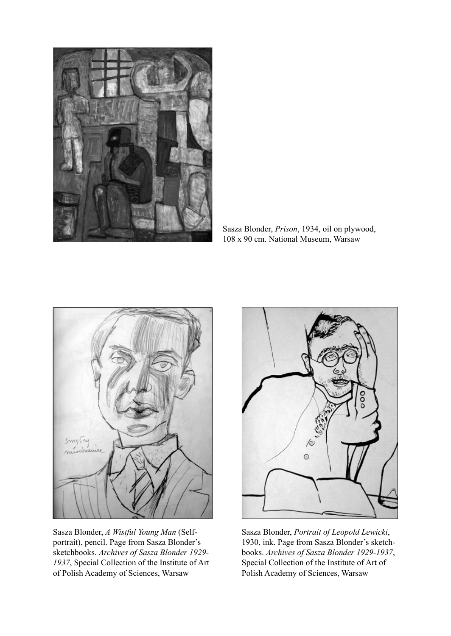

Sasza Blonder, *Prison*, 1934, oil on plywood, 108 x 90 cm. National Museum, Warsaw



Sasza Blonder, *A Wistful Young Man* (Selfportrait), pencil. Page from Sasza Blonder's sketchbooks. *Archives of Sasza Blonder 1929- 1937*, Special Collection of the Institute of Art of Polish Academy of Sciences, Warsaw



Sasza Blonder, *Portrait of Leopold Lewicki*, 1930, ink. Page from Sasza Blonder's sketchbooks. *Archives of Sasza Blonder 1929-1937*, Special Collection of the Institute of Art of Polish Academy of Sciences, Warsaw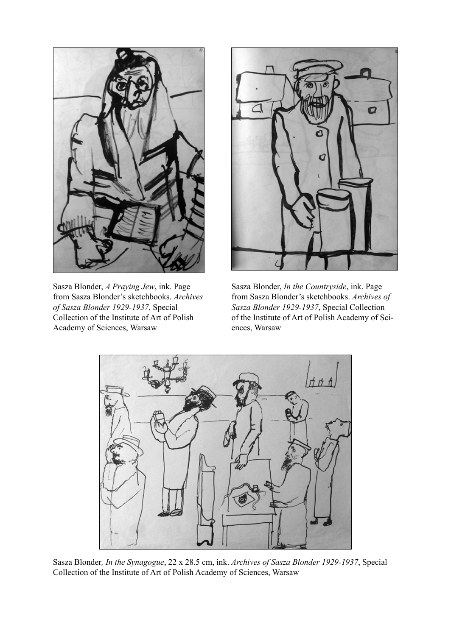

Sasza Blonder, *A Praying Jew*, ink. Page from Sasza Blonder's sketchbooks. *Archives of Sasza Blonder 1929-1937*, Special Collection of the Institute of Art of Polish Academy of Sciences, Warsaw



Sasza Blonder, *In the Countryside*, ink. Page from Sasza Blonder's sketchbooks. *Archives of Sasza Blonder 1929-1937*, Special Collection of the Institute of Art of Polish Academy of Sciences, Warsaw



Sasza Blonder*, In the Synagogue*, 22 x 28.5 cm, ink. *Archives of Sasza Blonder 1929-1937*, Special Collection of the Institute of Art of Polish Academy of Sciences, Warsaw